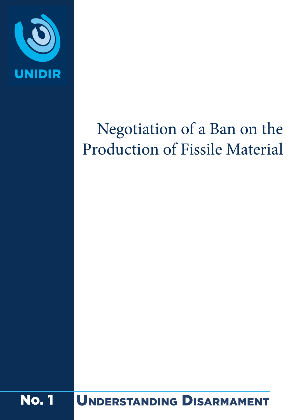

# Negotiation of a Ban on the Production of Fissile Material

No. 1 Understanding Disarmament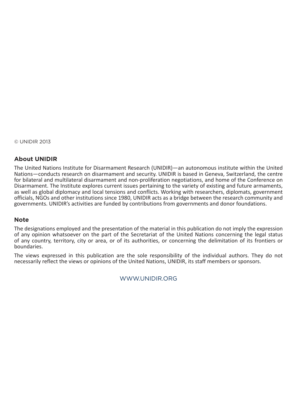© UNIDIR 2013

#### **About UNIDIR**

The United Nations Institute for Disarmament Research (UNIDIR)—an autonomous institute within the United Nations—conducts research on disarmament and security. UNIDIR is based in Geneva, Switzerland, the centre for bilateral and multilateral disarmament and non-proliferation negotiations, and home of the Conference on Disarmament. The Institute explores current issues pertaining to the variety of existing and future armaments, as well as global diplomacy and local tensions and conflicts. Working with researchers, diplomats, government officials, NGOs and other institutions since 1980, UNIDIR acts as a bridge between the research community and governments. UNIDIR's activities are funded by contributions from governments and donor foundations.

#### **Note**

The designations employed and the presentation of the material in this publication do not imply the expression of any opinion whatsoever on the part of the Secretariat of the United Nations concerning the legal status of any country, territory, city or area, or of its authorities, or concerning the delimitation of its frontiers or boundaries.

The views expressed in this publication are the sole responsibility of the individual authors. They do not necessarily reflect the views or opinions of the United Nations, UNIDIR, its staff members or sponsors.

#### [WWW.UNIDIR.ORG](http://WWW.UNIDIR.ORG)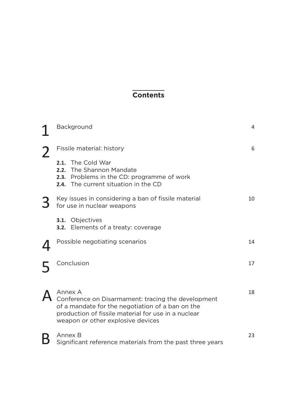## **Contents**

| Background                                                                                                                                                                                                    | 4  |
|---------------------------------------------------------------------------------------------------------------------------------------------------------------------------------------------------------------|----|
| Fissile material: history                                                                                                                                                                                     | 6  |
| The Cold War<br>2.1.<br>The Shannon Mandate<br>2.2.<br>2.3. Problems in the CD: programme of work<br>2.4. The current situation in the CD                                                                     |    |
| Key issues in considering a ban of fissile material<br>for use in nuclear weapons                                                                                                                             | 10 |
| 3.1. Objectives<br><b>3.2.</b> Elements of a treaty: coverage                                                                                                                                                 |    |
| Possible negotiating scenarios                                                                                                                                                                                | 14 |
| Conclusion                                                                                                                                                                                                    | 17 |
| Annex A<br>Conference on Disarmament: tracing the development<br>of a mandate for the negotiation of a ban on the<br>production of fissile material for use in a nuclear<br>weapon or other explosive devices | 18 |
| Annex B<br>Significant reference materials from the past three years                                                                                                                                          | 23 |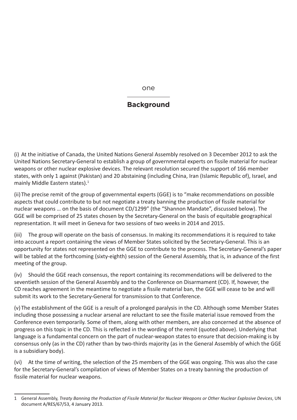one

## **Background**

(i) At the initiative of Canada, the United Nations General Assembly resolved on 3 December 2012 to ask the United Nations Secretary-General to establish a group of governmental experts on fissile material for nuclear weapons or other nuclear explosive devices. The relevant resolution secured the support of 166 member states, with only 1 against (Pakistan) and 20 abstaining (including China, Iran (Islamic Republic of), Israel, and mainly Middle Eastern states).1

(ii)The precise remit of the group of governmental experts (GGE) is to "make recommendations on possible aspects that could contribute to but not negotiate a treaty banning the production of fissile material for nuclear weapons … on the basis of document CD/1299" (the "Shannon Mandate", discussed below). The GGE will be comprised of 25 states chosen by the Secretary-General on the basis of equitable geographical representation. It will meet in Geneva for two sessions of two weeks in 2014 and 2015.

(iii) The group will operate on the basis of consensus. In making its recommendations it is required to take into account a report containing the views of Member States solicited by the Secretary-General. This is an opportunity for states not represented on the GGE to contribute to the process. The Secretary-General's paper will be tabled at the forthcoming (sixty-eighth) session of the General Assembly, that is, in advance of the first meeting of the group.

(iv) Should the GGE reach consensus, the report containing its recommendations will be delivered to the seventieth session of the General Assembly and to the Conference on Disarmament (CD). If, however, the CD reaches agreement in the meantime to negotiate a fissile material ban, the GGE will cease to be and will submit its work to the Secretary-General for transmission to that Conference.

(v) The establishment of the GGE is a result of a prolonged paralysis in the CD. Although some Member States including those possessing a nuclear arsenal are reluctant to see the fissile material issue removed from the Conference even temporarily. Some of them, along with other members, are also concerned at the absence of progress on this topic in the CD. This is reflected in the wording of the remit (quoted above). Underlying that language is a fundamental concern on the part of nuclear-weapon states to ensure that decision-making is by consensus only (as in the CD) rather than by two-thirds majority (as in the General Assembly of which the GGE is a subsidiary body).

(vi) At the time of writing, the selection of the 25 members of the GGE was ongoing. This was also the case for the Secretary-General's compilation of views of Member States on a treaty banning the production of fissile material for nuclear weapons.

<sup>1</sup> General Assembly, *Treaty Banning the Production of Fissile Material for Nuclear Weapons or Other Nuclear Explosive Devices*, UN document A/RES/67/53, 4 January 2013.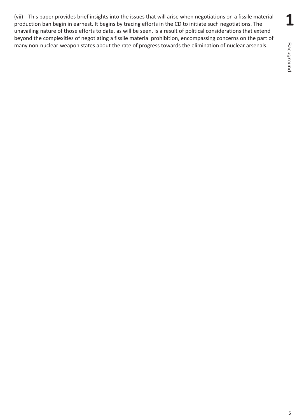(vii) This paper provides brief insights into the issues that will arise when negotiations on a fissile material production ban begin in earnest. It begins by tracing efforts in the CD to initiate such negotiations. The unavailing nature of those efforts to date, as will be seen, is a result of political considerations that extend beyond the complexities of negotiating a fissile material prohibition, encompassing concerns on the part of many non-nuclear-weapon states about the rate of progress towards the elimination of nuclear arsenals.

**1**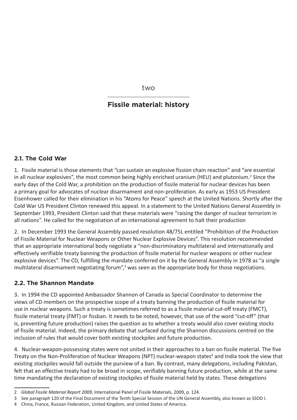two

## **Fissile material: history**

#### **2.1. The Cold War**

1. Fissile material is those elements that "can sustain an explosive fission chain reaction" and "are essential in all nuclear explosives", the most common being highly enriched uranium (HEU) and plutonium.<sup>2</sup> Since the early days of the Cold War, a prohibition on the production of fissile material for nuclear devices has been a primary goal for advocates of nuclear disarmament and non-proliferation. As early as 1953 US President Eisenhower called for their elimination in his "Atoms for Peace" speech at the United Nations. Shortly after the Cold War US President Clinton renewed this appeal. In a statement to the United Nations General Assembly in September 1993, President Clinton said that these materials were "raising the danger of nuclear terrorism in all nations". He called for the negotiation of an international agreement to halt their production

2. In December 1993 the General Assembly passed resolution 48/75L entitled "Prohibition of the Production of Fissile Material for Nuclear Weapons or Other Nuclear Explosive Devices". This resolution recommended that an appropriate international body negotiate a "non-discriminatory multilateral and internationally and effectively verifiable treaty banning the production of fissile material for nuclear weapons or other nuclear explosive devices". The CD, fulfilling the mandate conferred on it by the General Assembly in 1978 as "a single multilateral disarmament negotiating forum",<sup>3</sup> was seen as the appropriate body for those negotiations.

## **2.2. The Shannon Mandate**

3. In 1994 the CD appointed Ambassador Shannon of Canada as Special Coordinator to determine the views of CD members on the prospective scope of a treaty banning the production of fissile material for use in nuclear weapons. Such a treaty is sometimes referred to as a fissile material cut-off treaty (FMCT), fissile material treaty (FMT) or fissban. It needs to be noted, however, that use of the word "cut-off" (that is, preventing future production) raises the question as to whether a treaty would also cover existing stocks of fissile material. Indeed, the primary debate that surfaced during the Shannon discussions centred on the inclusion of rules that would cover both existing stockpiles and future production.

4. Nuclear-weapon-possessing states were not united in their approaches to a ban on fissile material. The five Treaty on the Non-Proliferation of Nuclear Weapons (NPT) nuclear-weapon states<sup>4</sup> and India took the view that existing stockpiles would fall outside the purview of a ban. By contrast, many delegations, including Pakistan, felt that an effective treaty had to be broad in scope, verifiably banning future production, while at the same time mandating the declaration of existing stockpiles of fissile material held by states. These delegations

<sup>2</sup> *Global Fissile Material Report 2009*, International Panel of Fissile Materials, 2009, p. 124.

<sup>3</sup> See paragraph 120 of the Final Document of the Tenth Special Session of the UN General Assembly, also known as SSOD I.

<sup>4</sup> China, France, Russian Federation, United Kingdom, and United States of America.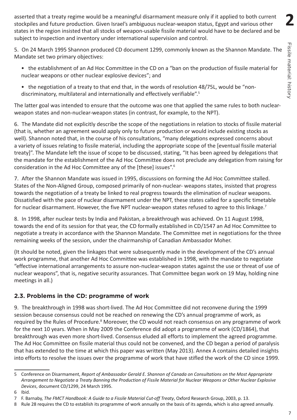**2**

asserted that a treaty regime would be a meaningful disarmament measure only if it applied to both current stockpiles and future production. Given Israel's ambiguous nuclear-weapon status, Egypt and various other states in the region insisted that all stocks of weapon-usable fissile material would have to be declared and be subject to inspection and inventory under international supervision and control.

5. On 24 March 1995 Shannon produced CD document 1299, commonly known as the Shannon Mandate. The Mandate set two primary objectives:

- the establishment of an Ad Hoc Committee in the CD on a "ban on the production of fissile material for nuclear weapons or other nuclear explosive devices"; and
- the negotiation of a treaty to that end that, in the words of resolution 48/75L, would be "nondiscriminatory, multilateral and internationally and effectively verifiable".5

The latter goal was intended to ensure that the outcome was one that applied the same rules to both nuclearweapon states and non-nuclear-weapon states (in contrast, for example, to the NPT).

6. The Mandate did not explicitly describe the scope of the negotiations in relation to stocks of fissile material (that is, whether an agreement would apply only to future production or would include existing stocks as well). Shannon noted that, in the course of his consultations, "many delegations expressed concerns about a variety of issues relating to fissile material, including the appropriate scope of the [eventual fissile material treaty]". The Mandate left the issue of scope to be discussed, stating, "It has been agreed by delegations that the mandate for the establishment of the Ad Hoc Committee does not preclude any delegation from raising for consideration in the Ad Hoc Committee any of the [these] issues".6

7. After the Shannon Mandate was issued in 1995, discussions on forming the Ad Hoc Committee stalled. States of the Non-Aligned Group, composed primarily of non-nuclear- weapons states, insisted that progress towards the negotiation of a treaty be linked to real progress towards the elimination of nuclear weapons. Dissatisfied with the pace of nuclear disarmament under the NPT, these states called for a specific timetable for nuclear disarmament. However, the five NPT nuclear-weapon states refused to agree to this linkage.<sup>7</sup>

8. In 1998, after nuclear tests by India and Pakistan, a breakthrough was achieved. On 11 August 1998, towards the end of its session for that year, the CD formally established in CD/1547 an Ad Hoc Committee to negotiate a treaty in accordance with the Shannon Mandate. The Committee met in negotiations for the three remaining weeks of the session, under the chairmanship of Canadian Ambassador Moher.

(It should be noted, given the linkages that were subsequently made in the development of the CD's annual work programme, that another Ad Hoc Committee was established in 1998, with the mandate to negotiate "effective international arrangements to assure non-nuclear-weapon states against the use or threat of use of nuclear weapons", that is, negative security assurances. That Committee began work on 19 May, holding nine meetings in all.)

## **2.3. Problems in the CD: programme of work**

9. The breakthrough in 1998 was short-lived. The Ad Hoc Committee did not reconvene during the 1999 session because consensus could not be reached on renewing the CD's annual programme of work, as required by the Rules of Procedure.<sup>8</sup> Moreover, the CD would not reach consensus on any programme of work for the next 10 years. When in May 2009 the Conference did adopt a programme of work (CD/1864), that breakthrough was even more short-lived. Consensus eluded all efforts to implement the agreed programme. The Ad Hoc Committee on fissile material thus could not be convened, and the CD began a period of paralysis that has extended to the time at which this paper was written (May 2013). Annex A contains detailed insights into efforts to resolve the issues over the programme of work that have stifled the work of the CD since 1999.

<sup>5</sup> Conference on Disarmament, *Report of Ambassador Gerald E. Shannon of Canada on Consultations on the Most Appropriate Arrangement to Negotiate a Treaty Banning the Production of Fissile Material for Nuclear Weapons or Other Nuclear Explosive Devices*, document CD/1299, 24 March 1995.

<sup>6</sup> Ibid.

<sup>7</sup> F. Barnaby, *The FMCT Handbook: A Guide to a Fissile Material Cut-off Treaty*, Oxford Research Group, 2003, p. 13.

<sup>8</sup> Rule 28 requires the CD to establish its programme of work annually on the basis of its agenda, which is also agreed annually.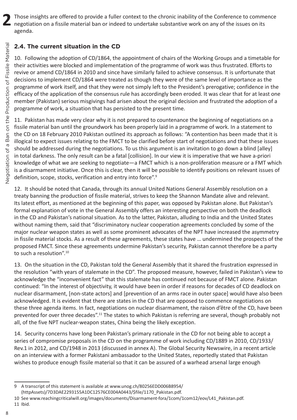Those insights are offered to provide a fuller context to the chronic inability of the Conference to commence negotiation on a fissile material ban or indeed to undertake substantive work on any of the issues on its agenda.

## **2.4. The current situation in the CD**

10. Following the adoption of CD/1864, the appointment of chairs of the Working Groups and a timetable for their activities were blocked and implementation of the programme of work was thus frustrated. Efforts to revive or amend CD/1864 in 2010 and since have similarly failed to achieve consensus. It is unfortunate that decisions to implement CD/1864 were treated as though they were of the same level of importance as the programme of work itself, and that they were not simply left to the President's prerogative; confidence in the efficacy of the application of the consensus rule has accordingly been eroded. It was clear that for at least one member (Pakistan) serious misgivings had arisen about the original decision and frustrated the adoption of a programme of work, a situation that has persisted to the present time.

11. Pakistan has made very clear why it is not prepared to countenance the beginning of negotiations on a fissile material ban until the groundwork has been properly laid in a programme of work. In a statement to the CD on 18 February 2010 Pakistan outlined its approach as follows: "A contention has been made that it is illogical to expect issues relating to the FMCT to be clarified before start of negotiations and that these issues should be addressed during the negotiations. To us this argument is an invitation to go down a blind [alley] in total darkness. The only result can be a fatal [collision]. In our view it is imperative that we have a-priori knowledge of what we are seeking to negotiate—a FMCT which is a non-proliferation measure or a FMT which is a disarmament initiative. Once this is clear, then it will be possible to identify positions on relevant issues of definition, scope, stocks, verification and entry into force".<sup>9</sup>

12. It should be noted that Canada, through its annual United Nations General Assembly resolution on a treaty banning the production of fissile material, strives to keep the Shannon Mandate alive and relevant. Its latest effort, as mentioned at the beginning of this paper, was opposed by Pakistan alone. But Pakistan's formal explanation of vote in the General Assembly offers an interesting perspective on both the deadlock in the CD and Pakistan's national situation. As to the latter, Pakistan, alluding to India and the United States without naming them, said that "discriminatory nuclear cooperation agreements concluded by some of the major nuclear weapon states as well as some prominent advocates of the NPT have increased the asymmetry in fissile material stocks. As a result of these agreements, these states have … undermined the prospects of the proposed FMCT. Since these agreements undermine Pakistan's security, Pakistan cannot therefore be a party to such a resolution".<sup>10</sup>

13. On the situation in the CD, Pakistan told the General Assembly that it shared the frustration expressed in the resolution "with years of stalemate in the CD". The proposed measure, however, failed in Pakistan's view to acknowledge the "inconvenient fact" that this stalemate has continued not because of FMCT alone. Pakistan continued: "In the interest of objectivity, it would have been in order if reasons for decades of CD deadlock on nuclear disarmament, [non-state actors] and [prevention of an arms race in outer space] would have also been acknowledged. It is evident that there are states in the CD that are opposed to commence negotiations on these three agenda items. In fact, negotiations on nuclear disarmament, the raison d'être of the CD, have been prevented for over three decades".11 The states to which Pakistan is referring are several, though probably not all, of the five NPT nuclear-weapon states, China being the likely exception.

14. Security concerns have long been Pakistan's primary rationale in the CD for not being able to accept a series of compromise proposals in the CD on the programme of work including CD/1889 in 2010, CD/1933/ Rev.1 in 2012, and CD/1948 in 2013 (discussed in annex A). The Global Security Newswire, in a recent article on an interview with a former Pakistani ambassador to the United States, reportedly stated that Pakistan wishes to produce enough fissile material so that it can be assured of a warhead arsenal large enough

- [\(httpAssets\)/7D3DAE2293155A1DC12576CE004A0443/\\$file/1170\\_Pakistan.pdf.](http://www.unog.ch/80256EDD006B8954/%28httpAssets%29/7D3DAE2293155A1DC12576CE004A0443/%24file/1170_Pakistan.pdf)
- 10 See www.reachingcriticalwill.org/images/documents/Disarmament-fora/1com/1com12/eov/L41\_Pakistan.pdf. 11 Ibid.
- 8

<sup>9</sup> A transcript of this statement is available at [www.unog.ch/80256EDD006B8954/](http://www.unog.ch/80256EDD006B8954/%28httpAssets%29/7D3DAE2293155A1DC12576CE004A0443/%24file/1170_Pakistan.pdf)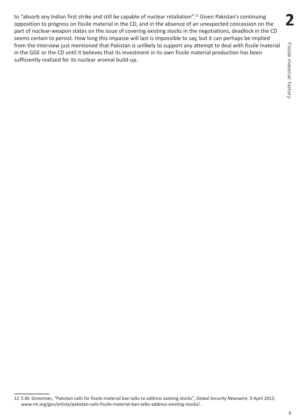to "absorb any Indian first strike and still be capable of nuclear retaliation".<sup>12</sup> Given Pakistan's continuing opposition to progress on fissile material in the CD, and in the absence of an unexpected concession on the part of nuclear-weapon states on the issue of covering existing stocks in the negotiations, deadlock in the CD seems certain to persist. How long this impasse will last is impossible to say, but it can perhaps be implied from the interview just mentioned that Pakistan is unlikely to support any attempt to deal with fissile material in the GGE or the CD until it believes that its investment in its own fissile material production has been sufficiently realized for its nuclear arsenal build-up.

**2**

<sup>12</sup> E.M. Grossman, "Pakistan calls for fissile-material ban talks to address existing stocks", *Global Security Newswire*, 9 April 2013, www.nti.org/gsn/article/pakistan-calls-fissile-material-ban-talks-address-existing-stocks/.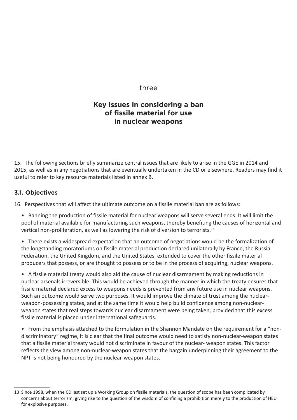three

## **Key issues in considering a ban of fissile material for use in nuclear weapons**

15. The following sections briefly summarize central issues that are likely to arise in the GGE in 2014 and 2015, as well as in any negotiations that are eventually undertaken in the CD or elsewhere. Readers may find it useful to refer to key resource materials listed in annex B.

## **3.1. Objectives**

16. Perspectives that will affect the ultimate outcome on a fissile material ban are as follows:

• Banning the production of fissile material for nuclear weapons will serve several ends. It will limit the pool of material available for manufacturing such weapons, thereby benefiting the causes of horizontal and vertical non-proliferation, as well as lowering the risk of diversion to terrorists.13

• There exists a widespread expectation that an outcome of negotiations would be the formalization of the longstanding moratoriums on fissile material production declared unilaterally by France, the Russia Federation, the United Kingdom, and the United States, extended to cover the other fissile material producers that possess, or are thought to possess or to be in the process of acquiring, nuclear weapons.

• A fissile material treaty would also aid the cause of nuclear disarmament by making reductions in nuclear arsenals irreversible. This would be achieved through the manner in which the treaty ensures that fissile material declared excess to weapons needs is prevented from any future use in nuclear weapons. Such an outcome would serve two purposes. It would improve the climate of trust among the nuclearweapon-possessing states, and at the same time it would help build confidence among non-nuclearweapon states that real steps towards nuclear disarmament were being taken, provided that this excess fissile material is placed under international safeguards.

• From the emphasis attached to the formulation in the Shannon Mandate on the requirement for a "nondiscriminatory" regime, it is clear that the final outcome would need to satisfy non-nuclear-weapon states that a fissile material treaty would not discriminate in favour of the nuclear- weapon states. This factor reflects the view among non-nuclear-weapon states that the bargain underpinning their agreement to the NPT is not being honoured by the nuclear-weapon states.

<sup>13</sup> Since 1998, when the CD last set up a Working Group on fissile materials, the question of scope has been complicated by concerns about terrorism, giving rise to the question of the wisdom of confining a prohibition merely to the production of HEU for explosive purposes.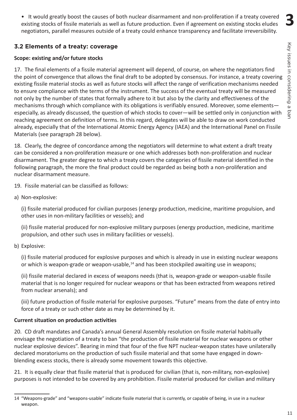**3**

• It would greatly boost the causes of both nuclear disarmament and non-proliferation if a treaty covered existing stocks of fissile materials as well as future production. Even if agreement on existing stocks eludes negotiators, parallel measures outside of a treaty could enhance transparency and facilitate irreversibility.

## **3.2 Elements of a treaty: coverage**

#### **Scope: existing and/or future stocks**

17. The final elements of a fissile material agreement will depend, of course, on where the negotiators find the point of convergence that allows the final draft to be adopted by consensus. For instance, a treaty covering existing fissile material stocks as well as future stocks will affect the range of verification mechanisms needed to ensure compliance with the terms of the instrument. The success of the eventual treaty will be measured not only by the number of states that formally adhere to it but also by the clarity and effectiveness of the mechanisms through which compliance with its obligations is verifiably ensured. Moreover, some elementsespecially, as already discussed, the question of which stocks to cover—will be settled only in conjunction with reaching agreement on definition of terms. In this regard, delegates will be able to draw on work conducted already, especially that of the International Atomic Energy Agency (IAEA) and the International Panel on Fissile Materials (see paragraph 28 below).

18. Clearly, the degree of concordance among the negotiators will determine to what extent a draft treaty can be considered a non-proliferation measure or one which addresses both non-proliferation and nuclear disarmament. The greater degree to which a treaty covers the categories of fissile material identified in the following paragraph, the more the final product could be regarded as being both a non-proliferation and nuclear disarmament measure.

19. Fissile material can be classified as follows:

a) Non-explosive:

(i) fissile material produced for civilian purposes (energy production, medicine, maritime propulsion, and other uses in non-military facilities or vessels); and

(ii) fissile material produced for non-explosive military purposes (energy production, medicine, maritime propulsion, and other such uses in military facilities or vessels).

b) Explosive:

(i) fissile material produced for explosive purposes and which is already in use in existing nuclear weapons or which is weapon-grade or weapon-usable, $14$  and has been stockpiled awaiting use in weapons;

(ii) fissile material declared in excess of weapons needs (that is, weapon-grade or weapon-usable fissile material that is no longer required for nuclear weapons or that has been extracted from weapons retired from nuclear arsenals); and

(iii) future production of fissile material for explosive purposes. "Future" means from the date of entry into force of a treaty or such other date as may be determined by it.

#### **Current situation on production activities**

20. CD draft mandates and Canada's annual General Assembly resolution on fissile material habitually envisage the negotiation of a treaty to ban "the production of fissile material for nuclear weapons or other nuclear explosive devices". Bearing in mind that four of the five NPT nuclear-weapon states have unilaterally declared moratoriums on the production of such fissile material and that some have engaged in downblending excess stocks, there is already some movement towards this objective.

21. It is equally clear that fissile material that is produced for civilian (that is, non-military, non-explosive) purposes is not intended to be covered by any prohibition. Fissile material produced for civilian and military

<sup>14</sup> "Weapons-grade" and "weapons-usable" indicate fissile material that is currently, or capable of being, in use in a nuclear weapon.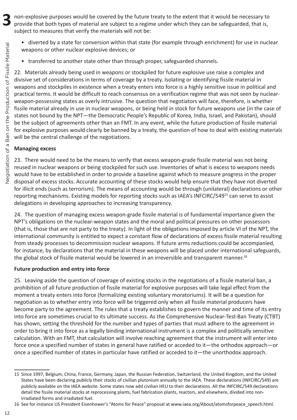non-explosive purposes would be covered by the future treaty to the extent that it would be necessary to provide that both types of material are subject to a regime under which they can be safeguarded, that is, subject to measures that verify the materials will not be:

- diverted by a state for conversion within that state (for example through enrichment) for use in nuclear weapons or other nuclear explosive devices; or
- transferred to another state other than through proper, safeguarded channels.

22. Materials already being used in weapons or stockpiled for future explosive use raise a complex and divisive set of considerations in terms of coverage by a treaty. Isolating or identifying fissile material in weapons and stockpiles in existence when a treaty enters into force is a highly sensitive issue in political and practical terms. It would be difficult to reach consensus on a verification regime that was not seen by nuclearweapon-possessing states as overly intrusive. The question that negotiators will face, therefore, is whether fissile material already in use in nuclear weapons, or being held in stock for future weapons use (in the case of states not bound by the NPT—the Democratic People's Republic of Korea, India, Israel, and Pakistan), should be the subject of agreements other than an FMT. In any event, while the future production of fissile material for explosive purposes would clearly be banned by a treaty, the question of how to deal with existing materials will be the central challenge of the negotiations.

#### **Managing excess**

23. There would need to be the means to verify that excess weapon-grade fissile material was not being reused in nuclear weapons or being stockpiled for such use. Inventories of what is excess to weapons needs would have to be established in order to provide a baseline against which to measure progress in the proper disposal of excess stocks. Accurate accounting of these stocks would help ensure that they have not diverted for illicit ends (such as terrorism). The means of accounting would be through (unilateral) declarations or other reporting mechanisms. Existing models for reporting stocks such as IAEA's INFCIRC/54915 can serve to assist delegations in developing approaches to increasing transparency.

24. The question of managing excess weapon-grade fissile material is of fundamental importance given the NPT's obligations on the nuclear-weapon states and the moral and political pressures on other possessors (that is, those that are not party to the treaty). In light of the obligations imposed by article VI of the NPT, the international community is entitled to expect a constant flow of declarations of excess fissile material resulting from steady processes to decommission nuclear weapons. If future arms reductions could be accompanied, for instance, by declarations that the material in these weapons will be placed under international safeguards, the global stock of fissile material would be lowered in an irreversible and transparent manner.<sup>16</sup>

#### **Future production and entry into force**

25. Leaving aside the question of coverage of existing stocks in the negotiations of a fissile material ban, a prohibition of all future production of fissile material for explosive purposes will take legal effect from the moment a treaty enters into force (formalizing existing voluntary moratoriums). It will be a question for negotiation as to whether entry into force will be triggered only when all fissile material producers have become party to the agreement. The rules that a treaty establishes to govern the manner and time of its entry into force are sometimes crucial to its ultimate success. As the Comprehensive Nuclear-Test-Ban Treaty (CTBT) has shown, setting the threshold for the number and types of parties that must adhere to the agreement in order to bring it into force as a legally binding international instrument is a complex and politically sensitive calculation. With an FMT, that calculation will involve reaching agreement that the instrument will enter into force once a specified number of states in general have ratified or acceded to it—the orthodox approach—or once a specified number of states in particular have ratified or acceded to it—the unorthodox approach.

**3**

<sup>15</sup> Since 1997, Belgium, China, France, Germany, Japan, the Russian Federation, Switzerland, the United Kingdom, and the United States have been declaring publicly their stocks of civilian plutonium annually to the IAEA. These declarations (INFCIRC/549) are publicly available on the IAEA website. Some states now add civilian HEU to their declarations. All the INFCIRC/549 declarations detail the fissile material stocks at reprocessing plants, fuel fabrication plants, reactors, and elsewhere, divided into nonirradiated forms and irradiated fuel.

<sup>16</sup> See for instance US President Eisenhower's "Atoms for Peace" proposal at www.iaea.org/About/atomsforpeace speech.html.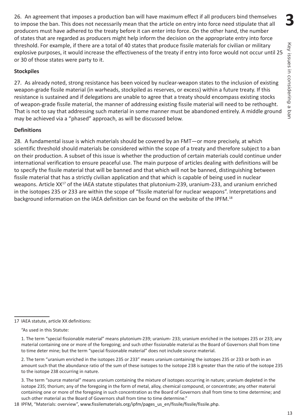**3**

26. An agreement that imposes a production ban will have maximum effect if all producers bind themselves to impose the ban. This does not necessarily mean that the article on entry into force need stipulate that all producers must have adhered to the treaty before it can enter into force. On the other hand, the number of states that are regarded as producers might help inform the decision on the appropriate entry into force threshold. For example, if there are a total of 40 states that produce fissile materials for civilian or military explosive purposes, it would increase the effectiveness of the treaty if entry into force would not occur until 25 or 30 of those states were party to it.

#### **Stockpiles**

27. As already noted, strong resistance has been voiced by nuclear-weapon states to the inclusion of existing weapon-grade fissile material (in warheads, stockpiled as reserves, or excess) within a future treaty. If this resistance is sustained and if delegations are unable to agree that a treaty should encompass existing stocks of weapon-grade fissile material, the manner of addressing existing fissile material will need to be rethought. That is not to say that addressing such material in some manner must be abandoned entirely. A middle ground may be achieved via a "phased" approach, as will be discussed below.

#### **Definitions**

28. A fundamental issue is which materials should be covered by an FMT—or more precisely, at which scientific threshold should materials be considered within the scope of a treaty and therefore subject to a ban on their production. A subset of this issue is whether the production of certain materials could continue under international verification to ensure peaceful use. The main purpose of articles dealing with definitions will be to specify the fissile material that will be banned and that which will not be banned, distinguishing between fissile material that has a strictly civilian application and that which is capable of being used in nuclear weapons. Article XX<sup>17</sup> of the IAEA statute stipulates that plutonium-239, uranium-233, and uranium enriched in the isotopes 235 or 233 are within the scope of "fissile material for nuclear weapons". Interpretations and background information on the IAEA definition can be found on the website of the IPFM.<sup>18</sup>

18 IPFM, "Materials: overview", [www.fissilematerials.org/ipfm/pages\\_us\\_en/fissile/fissile/fissile.php.](http://www.fissilematerials.org/ipfm/pages_us_en/fissile/fissile/fissile.php)

<sup>17</sup> IAEA statute, article XX definitions:

<sup>&</sup>quot;As used in this Statute:

<sup>1.</sup> The term "special fissionable material" means plutonium-239; uranium- 233; uranium enriched in the isotopes 235 or 233; any material containing one or more of the foregoing; and such other fissionable material as the Board of Governors shall from time to time deter mine; but the term "special fissionable material" does not include source material.

<sup>2.</sup> The term "uranium enriched in the isotopes 235 or 233" means uranium containing the isotopes 235 or 233 or both in an amount such that the abundance ratio of the sum of these isotopes to the isotope 238 is greater than the ratio of the isotope 235 to the isotope 238 occurring in nature.

<sup>3.</sup> The term "source material" means uranium containing the mixture of isotopes occurring in nature; uranium depleted in the isotope 235; thorium; any of the foregoing in the form of metal, alloy, chemical compound, or concentrate; any other material containing one or more of the foregoing in such concentration as the Board of Governors shall from time to time determine; and such other material as the Board of Governors shall from time to time determine."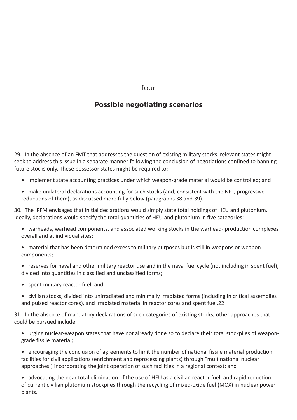four

## **Possible negotiating scenarios**

29. In the absence of an FMT that addresses the question of existing military stocks, relevant states might seek to address this issue in a separate manner following the conclusion of negotiations confined to banning future stocks only. These possessor states might be required to:

- implement state accounting practices under which weapon-grade material would be controlled; and
- make unilateral declarations accounting for such stocks (and, consistent with the NPT, progressive reductions of them), as discussed more fully below (paragraphs 38 and 39).

30. The IPFM envisages that initial declarations would simply state total holdings of HEU and plutonium. Ideally, declarations would specify the total quantities of HEU and plutonium in five categories:

- warheads, warhead components, and associated working stocks in the warhead- production complexes overall and at individual sites;
- material that has been determined excess to military purposes but is still in weapons or weapon components;
- reserves for naval and other military reactor use and in the naval fuel cycle (not including in spent fuel), divided into quantities in classified and unclassified forms;
- spent military reactor fuel; and
- civilian stocks, divided into unirradiated and minimally irradiated forms (including in critical assemblies and pulsed reactor cores), and irradiated material in reactor cores and spent fuel.22

31. In the absence of mandatory declarations of such categories of existing stocks, other approaches that could be pursued include:

- urging nuclear-weapon states that have not already done so to declare their total stockpiles of weapongrade fissile material;
- encouraging the conclusion of agreements to limit the number of national fissile material production facilities for civil applications (enrichment and reprocessing plants) through "multinational nuclear approaches", incorporating the joint operation of such facilities in a regional context; and
- advocating the near total elimination of the use of HEU as a civilian reactor fuel, and rapid reduction of current civilian plutonium stockpiles through the recycling of mixed-oxide fuel (MOX) in nuclear power plants.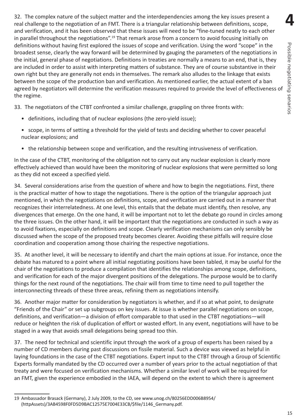**4**Possible negotiating senarios Possible negotiating senarios

32. The complex nature of the subject matter and the interdependencies among the key issues present a real challenge to the negotiation of an FMT. There is a triangular relationship between definitions, scope, and verification, and it has been observed that these issues will need to be "fine-tuned neatly to each other in parallel throughout the negotiations".<sup>19</sup> That remark arose from a concern to avoid focusing initially on definitions without having first explored the issues of scope and verification. Using the word "scope" in the broadest sense, clearly the way forward will be determined by gauging the parameters of the negotiations in the initial, general phase of negotiations. Definitions in treaties are normally a means to an end, that is, they are included in order to assist with interpreting matters of substance. They are of course substantive in their own right but they are generally not ends in themselves. The remark also alludes to the linkage that exists between the scope of the production ban and verification. As mentioned earlier, the actual extent of a ban agreed by negotiators will determine the verification measures required to provide the level of effectiveness of the regime.

33. The negotiators of the CTBT confronted a similar challenge, grappling on three fronts with:

- definitions, including that of nuclear explosions (the zero-yield issue);
- scope, in terms of setting a threshold for the yield of tests and deciding whether to cover peaceful nuclear explosions; and
- the relationship between scope and verification, and the resulting intrusiveness of verification.

In the case of the CTBT, monitoring of the obligation not to carry out any nuclear explosion is clearly more effectively achieved than would have been the monitoring of nuclear explosions that were permitted so long as they did not exceed a specified yield.

34. Several considerations arise from the question of where and how to begin the negotiations. First, there is the practical matter of how to stage the negotiations. There is the option of the triangular approach just mentioned, in which the negotiations on definitions, scope, and verification are carried out in a manner that recognizes their interrelatedness. At one level, this entails that the debate must identify, then resolve, any divergences that emerge. On the one hand, it will be important not to let the debate go round in circles among the three issues. On the other hand, it will be important that the negotiations are conducted in such a way as to avoid fixations, especially on definitions and scope. Clearly verification mechanisms can only sensibly be discussed when the scope of the proposed treaty becomes clearer. Avoiding these pitfalls will require close coordination and cooperation among those chairing the respective negotiations.

35. At another level, it will be necessary to identify and chart the main options at issue. For instance, once the debate has matured to a point where all initial negotiating positions have been tabled, it may be useful for the chair of the negotiations to produce a compilation that identifies the relationships among scope, definitions, and verification for each of the major divergent positions of the delegations. The purpose would be to clarify things for the next round of the negotiations. The chair will from time to time need to pull together the interconnecting threads of these three areas, refining them as negotiations intensify.

36. Another major matter for consideration by negotiators is whether, and if so at what point, to designate "Friends of the Chair" or set up subgroups on key issues. At issue is whether parallel negotiations on scope, definitions, and verification—a division of effort comparable to that used in the CTBT negotiations—will reduce or heighten the risk of duplication of effort or wasted effort. In any event, negotiations will have to be staged in a way that avoids small delegations being spread too thin.

37. The need for technical and scientific input through the work of a group of experts has been raised by a number of CD members during past discussions on fissile material. Such a device was viewed as helpful in laying foundations in the case of the CTBT negotiations. Expert input to the CTBT through a Group of Scientific Experts formally mandated by the CD occurred over a number of years prior to the actual negotiation of that treaty and were focused on verification mechanisms. Whether a similar level of work will be required for an FMT, given the experience embodied in the IAEA, will depend on the extent to which there is agreement

<sup>19</sup> Ambassador Brasack (Germany), 2 July 2009, to the CD, see [www.unog.ch/80256EDD006B8954/](http://www.unog.ch/80256EDD006B8954/%28httpAssets%29/3AB4598F0FD5D9BAC12575E7004E33CB/%24file/1146_Germany.pdf) [\(httpAssets\)/3AB4598F0FD5D9BAC12575E7004E33CB/\\$file/1146\\_Germany.pdf](http://www.unog.ch/80256EDD006B8954/%28httpAssets%29/3AB4598F0FD5D9BAC12575E7004E33CB/%24file/1146_Germany.pdf).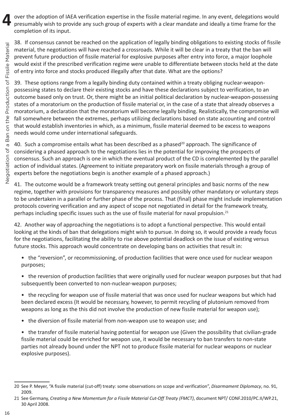over the adoption of IAEA verification expertise in the fissile material regime. In any event, delegations would presumably wish to provide any such group of experts with a clear mandate and ideally a time frame for the completion of its input.

38. If consensus cannot be reached on the application of legally binding obligations to existing stocks of fissile material, the negotiations will have reached a crossroads. While it will be clear in a treaty that the ban will prevent future production of fissile material for explosive purposes after entry into force, a major loophole would exist if the prescribed verification regime were unable to differentiate between stocks held at the date of entry into force and stocks produced illegally after that date. What are the options?

39. These options range from a legally binding duty contained within a treaty obliging nuclear-weaponpossessing states to declare their existing stocks and have these declarations subject to verification, to an outcome based only on trust. Or, there might be an initial political declaration by nuclear-weapon-possessing states of a moratorium on the production of fissile material or, in the case of a state that already observes a moratorium, a declaration that the moratorium will become legally binding. Realistically, the compromise will fall somewhere between the extremes, perhaps utilizing declarations based on state accounting and control that would establish inventories in which, as a minimum, fissile material deemed to be excess to weapons needs would come under international safeguards.

40. Such a compromise entails what has been described as a phased<sup>20</sup> approach. The significance of considering a phased approach to the negotiations lies in the potential for improving the prospects of consensus. Such an approach is one in which the eventual product of the CD is complemented by the parallel action of individual states. (Agreement to initiate preparatory work on fissile materials through a group of experts before the negotiations begin is another example of a phased approach.)

41. The outcome would be a framework treaty setting out general principles and basic norms of the new regime, together with provisions for transparency measures and possibly other mandatory or voluntary steps to be undertaken in a parallel or further phase of the process. That (final) phase might include implementation protocols covering verification and any aspect of scope not negotiated in detail for the framework treaty, perhaps including specific issues such as the use of fissile material for naval propulsion.<sup>21</sup>

42. Another way of approaching the negotiations is to adopt a functional perspective. This would entail looking at the kinds of ban that delegations might wish to pursue. In doing so, it would provide a ready focus for the negotiations, facilitating the ability to rise above potential deadlock on the issue of existing versus future stocks. This approach would concentrate on developing bans on activities that result in:

- the "reversion", or recommissioning, of production facilities that were once used for nuclear weapon purposes;
- the reversion of production facilities that were originally used for nuclear weapon purposes but that had subsequently been converted to non-nuclear-weapon purposes;
- the recycling for weapon use of fissile material that was once used for nuclear weapons but which had been declared excess (It would be necessary, however, to permit recycling of plutonium removed from weapons as long as the this did not involve the production of new fissile material for weapon use);
- the diversion of fissile material from non-weapon use to weapon use; and
- the transfer of fissile material having potential for weapon use (Given the possibility that civilian-grade fissile material could be enriched for weapon use, it would be necessary to ban transfers to non-state parties not already bound under the NPT not to produce fissile material for nuclear weapons or nuclear explosive purposes).

**4**

<sup>20</sup> See P. Meyer, "A fissile material (cut-off) treaty: some observations on scope and verification", *Disarmament Diplomacy*, no. 91, 2009.

<sup>21</sup> See Germany, *Creating a New Momentum for a Fissile Material Cut-Off Treaty (FMCT)*, document NPT/ CONF.2010/PC.II/WP.21, 30 April 2008.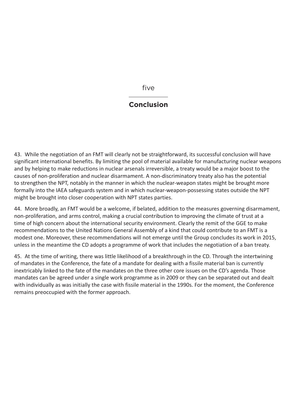five

## **Conclusion**

43. While the negotiation of an FMT will clearly not be straightforward, its successful conclusion will have significant international benefits. By limiting the pool of material available for manufacturing nuclear weapons and by helping to make reductions in nuclear arsenals irreversible, a treaty would be a major boost to the causes of non-proliferation and nuclear disarmament. A non-discriminatory treaty also has the potential to strengthen the NPT, notably in the manner in which the nuclear-weapon states might be brought more formally into the IAEA safeguards system and in which nuclear-weapon-possessing states outside the NPT might be brought into closer cooperation with NPT states parties.

44. More broadly, an FMT would be a welcome, if belated, addition to the measures governing disarmament, non-proliferation, and arms control, making a crucial contribution to improving the climate of trust at a time of high concern about the international security environment. Clearly the remit of the GGE to make recommendations to the United Nations General Assembly of a kind that could contribute to an FMT is a modest one. Moreover, these recommendations will not emerge until the Group concludes its work in 2015, unless in the meantime the CD adopts a programme of work that includes the negotiation of a ban treaty.

45. At the time of writing, there was little likelihood of a breakthrough in the CD. Through the intertwining of mandates in the Conference, the fate of a mandate for dealing with a fissile material ban is currently inextricably linked to the fate of the mandates on the three other core issues on the CD's agenda. Those mandates can be agreed under a single work programme as in 2009 or they can be separated out and dealt with individually as was initially the case with fissile material in the 1990s. For the moment, the Conference remains preoccupied with the former approach.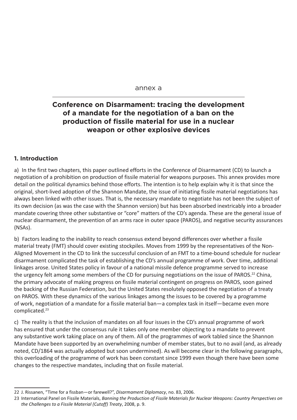#### annex a

## **Conference on Disarmament: tracing the development of a mandate for the negotiation of a ban on the production of fissile material for use in a nuclear weapon or other explosive devices**

#### **1. Introduction**

a) In the first two chapters, this paper outlined efforts in the Conference of Disarmament (CD) to launch a negotiation of a prohibition on production of fissile material for weapons purposes. This annex provides more detail on the political dynamics behind those efforts. The intention is to help explain why it is that since the original, short-lived adoption of the Shannon Mandate, the issue of initiating fissile material negotiations has always been linked with other issues. That is, the necessary mandate to negotiate has not been the subject of its own decision (as was the case with the Shannon version) but has been absorbed inextricably into a broader mandate covering three other substantive or "core" matters of the CD's agenda. These are the general issue of nuclear disarmament, the prevention of an arms race in outer space (PAROS), and negative security assurances (NSAs).

b) Factors leading to the inability to reach consensus extend beyond differences over whether a fissile material treaty (FMT) should cover existing stockpiles. Moves from 1999 by the representatives of the Non-Aligned Movement in the CD to link the successful conclusion of an FMT to a time-bound schedule for nuclear disarmament complicated the task of establishing the CD's annual programme of work. Over time, additional linkages arose. United States policy in favour of a national missile defence programme served to increase the urgency felt among some members of the CD for pursuing negotiations on the issue of PAROS.<sup>22</sup> China, the primary advocate of making progress on fissile material contingent on progress on PAROS, soon gained the backing of the Russian Federation, but the United States resolutely opposed the negotiation of a treaty on PAROS. With these dynamics of the various linkages among the issues to be covered by a programme of work, negotiation of a mandate for a fissile material ban—a complex task in itself—became even more complicated.<sup>23</sup>

c) The reality is that the inclusion of mandates on all four issues in the CD's annual programme of work has ensured that under the consensus rule it takes only one member objecting to a mandate to prevent any substantive work taking place on any of them. All of the programmes of work tabled since the Shannon Mandate have been supported by an overwhelming number of member states, but to no avail (and, as already noted, CD/1864 was actually adopted but soon undermined). As will become clear in the following paragraphs, this overloading of the programme of work has been constant since 1999 even though there have been some changes to the respective mandates, including that on fissile material.

<sup>22</sup> J. Rissanen, "Time for a fissban—or farewell?", *Disarmament Diplomacy*, no. 83, 2006.

<sup>23</sup> International Panel on Fissile Materials, *Banning the Production of Fissile Materials for Nuclear Weapons: Country Perspectives on the Challenges to a Fissile Material (Cutoff) Treaty*, 2008, p. 9.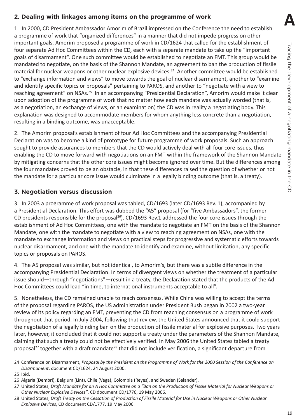## **2. Dealing with linkages among items on the programme of work**

1. In 2000, CD President Ambassador Amorim of Brazil impressed on the Conference the need to establish a programme of work that "organized differences" in a manner that did not impede progress on other important goals. Amorim proposed a programme of work in CD/1624 that called for the establishment of four separate Ad Hoc Committees within the CD, each with a separate mandate to take up the "important goals of disarmament". One such committee would be established to negotiate an FMT. This group would be mandated to negotiate, on the basis of the Shannon Mandate, an agreement to ban the production of fissile material for nuclear weapons or other nuclear explosive devices.<sup>24</sup> Another committee would be established to "exchange information and views" to move towards the goal of nuclear disarmament, another to "examine and identify specific topics or proposals" pertaining to PAROS, and another to "negotiate with a view to reaching agreement" on NSAs.25 In an accompanying "Presidential Declaration", Amorim would make it clear upon adoption of the programme of work that no matter how each mandate was actually worded (that is, as a negotiation, an exchange of views, or an examination) the CD was in reality a negotiating body. This explanation was designed to accommodate members for whom anything less concrete than a negotiation, resulting in a binding outcome, was unacceptable.

2. The Amorim proposal's establishment of four Ad Hoc Committees and the accompanying Presidential Declaration was to become a kind of prototype for future programme of work proposals. Such an approach sought to provide assurances to members that the CD would actively deal with all four core issues, thus enabling the CD to move forward with negotiations on an FMT within the framework of the Shannon Mandate by mitigating concerns that the other core issues might become ignored over time. But the differences among the four mandates proved to be an obstacle, in that these differences raised the question of whether or not the mandate for a particular core issue would culminate in a legally binding outcome (that is, a treaty).

## **3. Negotiation versus discussion**

3. In 2003 a programme of work proposal was tabled, CD/1693 (later CD/1693 Rev. 1), accompanied by a Presidential Declaration. This effort was dubbed the "A5" proposal (for "five Ambassadors", the former CD presidents responsible for the proposal<sup>26</sup>). CD/1693 Rev.1 addressed the four core issues through the establishment of Ad Hoc Committees, one with the mandate to negotiate an FMT on the basis of the Shannon Mandate, one with the mandate to negotiate with a view to reaching agreement on NSAs, one with the mandate to exchange information and views on practical steps for progressive and systematic efforts towards nuclear disarmament, and one with the mandate to identify and examine, without limitation, any specific topics or proposals on PAROS.

4. The A5 proposal was similar, but not identical, to Amorim's, but there was a subtle difference in the accompanying Presidential Declaration. In terms of divergent views on whether the treatment of a particular issue should—through "negotiations"—result in a treaty, the Declaration stated that the products of the Ad Hoc Committees could lead "in time, to international instruments acceptable to all".

5. Nonetheless, the CD remained unable to reach consensus. While China was willing to accept the terms of the proposal regarding PAROS, the US administration under President Bush began in 2002 a two-year review of its policy regarding an FMT, preventing the CD from reaching consensus on a programme of work throughout that period. In July 2004, following that review, the United States announced that it could support the negotiation of a legally binding ban on the production of fissile material for explosive purposes. Two years later, however, it concluded that it could not support a treaty under the parameters of the Shannon Mandate, claiming that such a treaty could not be effectively verified. In May 2006 the United States tabled a treaty proposal<sup>27</sup> together with a draft mandate<sup>28</sup> that did not include verification, a significant departure from

**A**

<sup>24</sup> Conference on Disarmament, *Proposal by the President on the Programme of Work for the 2000 Session of the Conference on Disarmament*, document CD/1624, 24 August 2000.

<sup>25</sup> Ibid.

<sup>26</sup> Algeria (Dembri), Belgium (Lint), Chile (Vega), Colombia (Reyes), and Sweden (Salander).

<sup>27</sup> United States, *Draft Mandate for an A Hoc Committee on a "Ban on the Production of Fissile Material for Nuclear Weapons or Other Nuclear Explosive Devices"*, CD document CD/1776, 19 May 2006.

<sup>28</sup> United States, *Draft Treaty on the Cessation of Production of Fissile Material for Use in Nuclear Weapons or Other Nuclear Explosive Devices*, CD document CD/1777, 19 May 2006.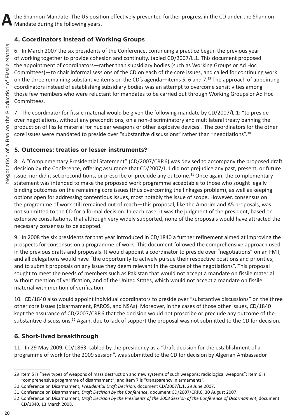## **4. Coordinators instead of Working Groups**

6. In March 2007 the six presidents of the Conference, continuing a practice begun the previous year of working together to provide cohesion and continuity, tabled CD/2007/L.1. This document proposed the appointment of coordinators—rather than subsidiary bodies (such as Working Groups or Ad Hoc Committees)—to chair informal sessions of the CD on each of the core issues, and called for continuing work on the three remaining substantive items on the CD's agenda—items 5, 6 and 7.<sup>29</sup> The approach of appointing coordinators instead of establishing subsidiary bodies was an attempt to overcome sensitivities among those few members who were reluctant for mandates to be carried out through Working Groups or Ad Hoc Committees.

7. The coordinator for fissile material would be given the following mandate by CD/2007/L.1: "to preside over negotiations, without any preconditions, on a non-discriminatory and multilateral treaty banning the production of fissile material for nuclear weapons or other explosive devices". The coordinators for the other core issues were mandated to preside over "substantive discussions" rather than "negotiations".30

## **5. Outcomes: treaties or lesser instruments?**

8. A "Complementary Presidential Statement" (CD/2007/CRP.6) was devised to accompany the proposed draft decision by the Conference, offering assurance that CD/2007/L.1 did not prejudice any past, present, or future issue, nor did it set preconditions, or prescribe or preclude any outcome.<sup>31</sup> Once again, the complementary statement was intended to make the proposed work programme acceptable to those who sought legally binding outcomes on the remaining core issues (thus overcoming the linkages problem), as well as keeping options open for addressing contentious issues, most notably the issue of scope. However, consensus on the programme of work still remained out of reach—this proposal, like the Amorim and A5 proposals, was not submitted to the CD for a formal decision. In each case, it was the judgment of the president, based on extensive consultations, that although very widely supported, none of the proposals would have attracted the necessary consensus to be adopted.

9. In 2008 the six presidents for that year introduced in CD/1840 a further refinement aimed at improving the prospects for consensus on a programme of work. This document followed the comprehensive approach used in the previous drafts and proposals. It would appoint a coordinator to preside over "negotiations" on an FMT, and all delegations would have "the opportunity to actively pursue their respective positions and priorities, and to submit proposals on any issue they deem relevant in the course of the negotiations". This proposal sought to meet the needs of members such as Pakistan that would not accept a mandate on fissile material without mention of verification, and of the United States, which would not accept a mandate on fissile material with mention of verification.

10. CD/1840 also would appoint individual coordinators to preside over "substantive discussions" on the three other core issues (disarmament, PAROS, and NSAs). Moreover, in the cases of those other issues, CD/1840 kept the assurance of CD/2007/CRP.6 that the decision would not proscribe or preclude any outcome of the substantive discussions.<sup>32</sup> Again, due to lack of support the proposal was not submitted to the CD for decision.

## **6. Short-lived breakthrough**

11. In 29 May 2009, CD/1863, tabled by the presidency as a "draft decision for the establishment of a programme of work for the 2009 session", was submitted to the CD for decision by Algerian Ambassador

<sup>29</sup> Item 5 is "new types of weapons of mass destruction and new systems of such weapons; radiological weapons"; item 6 is "comprehensive programme of disarmament"; and item 7 is "transparency in armaments".

<sup>30</sup> Conference on Disarmament, *Presidential Draft Decision*, document CD/2007/L.1, 29 June 2007.

<sup>31</sup> Conference on Disarmament, *Draft Decision by the Conference*, document CD/2007/CRP.6, 30 August 2007.

<sup>32</sup> Conference on Disarmament, *Draft Decision by the Presidents of the 2008 Session of the Conference of Disarmament*, document CD/1840, 13 March 2008.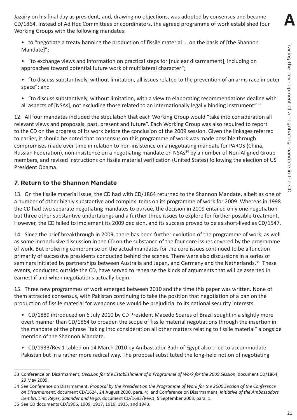**A**

Jazairy on his final day as president, and, drawing no objections, was adopted by consensus and became CD/1864. Instead of Ad Hoc Committees or coordinators, the agreed programme of work established four Working Groups with the following mandates:

- to "negotiate a treaty banning the production of fissile material ... on the basis of [the Shannon Mandate]";
- "to exchange views and information on practical steps for [nuclear disarmament], including on approaches toward potential future work of multilateral character";
- "to discuss substantively, without limitation, all issues related to the prevention of an arms race in outer space"; and
- "to discuss substantively, without limitation, with a view to elaborating recommendations dealing with all aspects of [NSAs], not excluding those related to an internationally legally binding instrument".<sup>33</sup>

12. All four mandates included the stipulation that each Working Group would "take into consideration all relevant views and proposals, past, present and future". Each Working Group was also required to report to the CD on the progress of its work before the conclusion of the 2009 session. Given the linkages referred to earlier, it should be noted that consensus on this programme of work was made possible through compromises made over time in relation to non-insistence on a negotiating mandate for PAROS (China, Russian Federation), non-insistence on a negotiating mandate on NSAs<sup>34</sup> by a number of Non-Aligned Group members, and revised instructions on fissile material verification (United States) following the election of US President Obama.

## **7. Return to the Shannon Mandate**

13. On the fissile material issue, the CD had with CD/1864 returned to the Shannon Mandate, albeit as one of a number of other highly substantive and complex items on its programme of work for 2009. Whereas in 1998 the CD had two separate negotiating mandates to pursue, the decision in 2009 entailed only one negotiation but three other substantive undertakings and a further three issues to explore for further possible treatment. However, the CD failed to implement its 2009 decision, and its success proved to be as short-lived as CD/1547.

14. Since the brief breakthrough in 2009, there has been further evolution of the programme of work, as well as some inconclusive discussion in the CD on the substance of the four core issues covered by the programme of work. But brokering compromise on the actual mandates for the core issues continued to be a function primarily of successive presidents conducted behind the scenes. There were also discussions in a series of seminars initiated by partnerships between Australia and Japan, and Germany and the Netherlands.<sup>35</sup> These events, conducted outside the CD, have served to rehearse the kinds of arguments that will be asserted in earnest if and when negotiations actually begin.

15. Three new programmes of work emerged between 2010 and the time this paper was written. None of them attracted consensus, with Pakistan continuing to take the position that negotiation of a ban on the production of fissile material for weapons use would be prejudicial to its national security interests.

• CD/1889 introduced on 6 July 2010 by CD President Macedo Soares of Brazil sought in a slightly more overt manner than CD/1864 to broaden the scope of fissile material negotiations through the insertion in the mandate of the phrase "taking into consideration all other matters relating to fissile material" alongside mention of the Shannon Mandate.

• CD/1933/Rev.1 tabled on 14 March 2010 by Ambassador Badr of Egypt also tried to accommodate Pakistan but in a rather more radical way. The proposal substituted the long-held notion of negotiating

<sup>33</sup> Conference on Disarmament, *Decision for the Establishment of a Programme of Work for the 2009 Session*, document CD/1864, 29 May 2009.

<sup>34</sup> See Conference on Disarmament, *Proposal by the President on the Programme of Work for the 2000 Session of the Conference on Disarmament*, document CD/1624, 24 August 2000, para. 4; and Conference on Disarmament, *Initiative of the Ambassadors Dembri, Lint, Reyes, Salander and Vega*, document CD/1693/Rev.1, 5 September 2003, para. 1.

<sup>35</sup> See CD documents CD/1906, 1909, 1917, 1919, 1935, and 1943.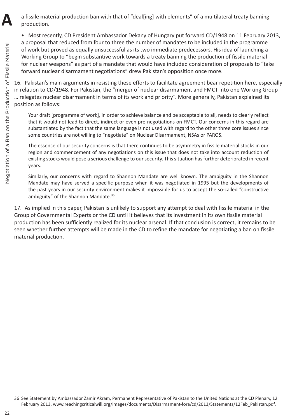a fissile material production ban with that of "deal[ing] with elements" of a multilateral treaty banning production.

• Most recently, CD President Ambassador Dekany of Hungary put forward CD/1948 on 11 February 2013, a proposal that reduced from four to three the number of mandates to be included in the programme of work but proved as equally unsuccessful as its two immediate predecessors. His idea of launching a Working Group to "begin substantive work towards a treaty banning the production of fissile material for nuclear weapons" as part of a mandate that would have included consideration of proposals to "take forward nuclear disarmament negotiations" drew Pakistan's opposition once more.

16. Pakistan's main arguments in resisting these efforts to facilitate agreement bear repetition here, especially in relation to CD/1948. For Pakistan, the "merger of nuclear disarmament and FMCT into one Working Group … relegates nuclear disarmament in terms of its work and priority". More generally, Pakistan explained its position as follows:

Your draft [programme of work], in order to achieve balance and be acceptable to all, needs to clearly reflect that it would not lead to direct, indirect or even pre-negotiations on FMCT. Our concerns in this regard are substantiated by the fact that the same language is not used with regard to the other three core issues since some countries are not willing to "negotiate" on Nuclear Disarmament, NSAs or PAROS.

The essence of our security concerns is that there continues to be asymmetry in fissile material stocks in our region and commencement of any negotiations on this issue that does not take into account reduction of existing stocks would pose a serious challenge to our security. This situation has further deteriorated in recent years.

Similarly, our concerns with regard to Shannon Mandate are well known. The ambiguity in the Shannon Mandate may have served a specific purpose when it was negotiated in 1995 but the developments of the past years in our security environment makes it impossible for us to accept the so-called "constructive ambiguity" of the Shannon Mandate.<sup>36</sup>

17. As implied in this paper, Pakistan is unlikely to support any attempt to deal with fissile material in the Group of Governmental Experts or the CD until it believes that its investment in its own fissile material production has been sufficiently realized for its nuclear arsenal. If that conclusion is correct, it remains to be seen whether further attempts will be made in the CD to refine the mandate for negotiating a ban on fissile material production.

**A**

<sup>36</sup> See Statement by Ambassador Zamir Akram, Permanent Representative of Pakistan to the United Nations at the CD Plenary, 12 February 2013, www.reachingcriticalwill.org/images/documents/Disarmament-fora/cd/2013/Statements/12Feb\_Pakistan.pdf.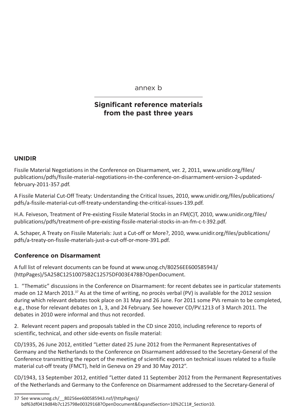annex b

## **Significant reference materials from the past three years**

#### **UNIDIR**

Fissile Material Negotiations in the Conference on Disarmament, ver. 2, 2011, [www.unidir.org/files/](http://www.unidir.org/files/publications/pdfs/fissile-material-negotiations-in-the-conference-on-disarmament-version-2-updated-february-2011-357.pdf) [publications/pdfs/fissile-material-negotiations-in-the-conference-on-disarmament-version-2-updated](http://www.unidir.org/files/publications/pdfs/fissile-material-negotiations-in-the-conference-on-disarmament-version-2-updated-february-2011-357.pdf)[february-2011-357.pdf](http://www.unidir.org/files/publications/pdfs/fissile-material-negotiations-in-the-conference-on-disarmament-version-2-updated-february-2011-357.pdf).

A Fissile Material Cut-Off Treaty: Understanding the Critical Issues, 2010, [www.unidir.org/files/publications/](http://www.unidir.org/files/publications/pdfs/a-fissile-material-cut-off-treaty-understanding-the-critical-issues-139.pdf) [pdfs/a-fissile-material-cut-off-treaty-understanding-the-critical-issues-139.pdf.](http://www.unidir.org/files/publications/pdfs/a-fissile-material-cut-off-treaty-understanding-the-critical-issues-139.pdf)

H.A. Feiveson, Treatment of Pre-existing Fissile Material Stocks in an FM(C)T, 2010, [www.unidir.org/files/](http://www.unidir.org/files/publications/pdfs/treatment-of-pre-existing-fissile-material-stocks-in-an-fm-c-t-392.pdf) [publications/pdfs/treatment-of-pre-existing-fissile-material-stocks-in-an-fm-c-t-392.pdf](http://www.unidir.org/files/publications/pdfs/treatment-of-pre-existing-fissile-material-stocks-in-an-fm-c-t-392.pdf).

A. Schaper, A Treaty on Fissile Materials: Just a Cut-off or More?, 2010, [www.unidir.org/files/publications/](http://www.unidir.org/files/publications/pdfs/a-treaty-on-fissile-materials-just-a-cut-off-or-more-391.pdf) [pdfs/a-treaty-on-fissile-materials-just-a-cut-off-or-more-391.pdf.](http://www.unidir.org/files/publications/pdfs/a-treaty-on-fissile-materials-just-a-cut-off-or-more-391.pdf)

## **Conference on Disarmament**

A full list of relevant documents can be found at [www.unog.ch/80256EE600585943/](http://www.unog.ch/80256EE600585943/%28httpPages%29/5A258C12510075B2C12575DF003E478B%3FOpenDocument) [\(httpPages\)/5A258C12510075B2C12575DF003E478B?OpenDocument](http://www.unog.ch/80256EE600585943/%28httpPages%29/5A258C12510075B2C12575DF003E478B%3FOpenDocument).

1. "Thematic" discussions in the Conference on Disarmament: for recent debates see in particular statements made on 12 March 2013.<sup>37</sup> As at the time of writing, no procès verbal (PV) is available for the 2012 session during which relevant debates took place on 31 May and 26 June. For 2011 some PVs remain to be completed, e.g., those for relevant debates on 1, 3, and 24 February. See however CD/PV.1213 of 3 March 2011. The debates in 2010 were informal and thus not recorded.

2. Relevant recent papers and proposals tabled in the CD since 2010, including reference to reports of scientific, technical, and other side-events on fissile material:

CD/1935, 26 June 2012, entitled "Letter dated 25 June 2012 from the Permanent Representatives of Germany and the Netherlands to the Conference on Disarmament addressed to the Secretary-General of the Conference transmitting the report of the meeting of scientific experts on technical issues related to a fissile material cut-off treaty (FMCT), held in Geneva on 29 and 30 May 2012".

CD/1943, 13 September 2012, entitled "Letter dated 11 September 2012 from the Permanent Representatives of the Netherlands and Germany to the Conference on Disarmament addressed to the Secretary-General of

<sup>37</sup> See [www.unog.ch/\\_\\_80256ee600585943.nsf/\(httpPages\)/](http://www.unog.ch/__80256ee600585943.nsf/%28httpPages%29/bdf63df0419d84b7c125798e00329168%3FOpenDocument%26ExpandSection%3D10%252C11%23_Section10) [bdf63df0419d84b7c125798e00329168?OpenDocument&ExpandSection=10%2C11#\\_Section10](http://www.unog.ch/__80256ee600585943.nsf/%28httpPages%29/bdf63df0419d84b7c125798e00329168%3FOpenDocument%26ExpandSection%3D10%252C11%23_Section10).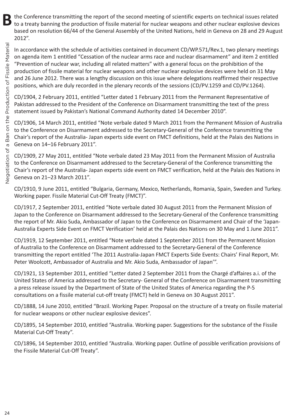the Conference transmitting the report of the second meeting of scientific experts on technical issues related to a treaty banning the production of fissile material for nuclear weapons and other nuclear explosive devices based on resolution 66/44 of the General Assembly of the United Nations, held in Geneva on 28 and 29 August 2012".

In accordance with the schedule of activities contained in document CD/WP.571/Rev.1, two plenary meetings on agenda item 1 entitled "Cessation of the nuclear arms race and nuclear disarmament" and item 2 entitled "Prevention of nuclear war, including all related matters" with a general focus on the prohibition of the production of fissile material for nuclear weapons and other nuclear explosive devices were held on 31 May and 26 June 2012. There was a lengthy discussion on this issue where delegations reaffirmed their respective positions, which are duly recorded in the plenary records of the sessions (CD/PV.1259 and CD/PV.1264).

CD/1904, 2 February 2011, entitled "Letter dated 1 February 2011 from the Permanent Representative of Pakistan addressed to the President of the Conference on Disarmament transmitting the text of the press statement issued by Pakistan's National Command Authority dated 14 December 2010".

CD/1906, 14 March 2011, entitled "Note verbale dated 9 March 2011 from the Permanent Mission of Australia to the Conference on Disarmament addressed to the Secretary-General of the Conference transmitting the Chair's report of the Australia- Japan experts side event on FMCT definitions, held at the Palais des Nations in Geneva on 14–16 February 2011".

CD/1909, 27 May 2011, entitled "Note verbale dated 23 May 2011 from the Permanent Mission of Australia to the Conference on Disarmament addressed to the Secretary-General of the Conference transmitting the Chair's report of the Australia- Japan experts side event on FMCT verification, held at the Palais des Nations in Geneva on 21–23 March 2011".

CD/1910, 9 June 2011, entitled "Bulgaria, Germany, Mexico, Netherlands, Romania, Spain, Sweden and Turkey. Working paper. Fissile Material Cut-Off Treaty (FMCT)".

CD/1917, 2 September 2011, entitled "Note verbale dated 30 August 2011 from the Permanent Mission of Japan to the Conference on Disarmament addressed to the Secretary-General of the Conference transmitting the report of Mr. Akio Suda, Ambassador of Japan to the Conference on Disarmament and Chair of the 'Japan-Australia Experts Side Event on FMCT Verification' held at the Palais des Nations on 30 May and 1 June 2011".

CD/1919, 12 September 2011, entitled "Note verbale dated 1 September 2011 from the Permanent Mission of Australia to the Conference on Disarmament addressed to the Secretary-General of the Conference transmitting the report entitled 'The 2011 Australia-Japan FMCT Experts Side Events: Chairs' Final Report, Mr. Peter Woolcott, Ambassador of Australia and Mr. Akio Suda, Ambassador of Japan'".

CD/1921, 13 September 2011, entitled "Letter dated 2 September 2011 from the Chargé d'affaires a.i. of the United States of America addressed to the Secretary- General of the Conference on Disarmament transmitting a press release issued by the Department of State of the United States of America regarding the P-5 consultations on a fissile material cut-off treaty (FMCT) held in Geneva on 30 August 2011".

CD/1888, 14 June 2010, entitled "Brazil. Working Paper. Proposal on the structure of a treaty on fissile material for nuclear weapons or other nuclear explosive devices".

CD/1895, 14 September 2010, entitled "Australia. Working paper. Suggestions for the substance of the Fissile Material Cut-Off Treaty".

CD/1896, 14 September 2010, entitled "Australia. Working paper. Outline of possible verification provisions of the Fissile Material Cut-Off Treaty".

**B**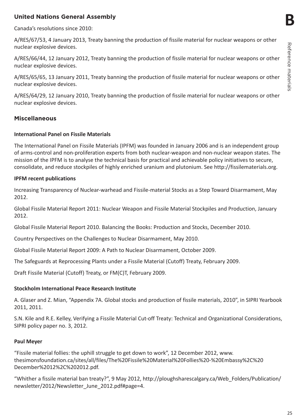**B**

## **United Nations General Assembly**

Canada's resolutions since 2010:

A/RES/67/53, 4 January 2013, Treaty banning the production of fissile material for nuclear weapons or other nuclear explosive devices.

A/RES/66/44, 12 January 2012, Treaty banning the production of fissile material for nuclear weapons or other nuclear explosive devices.

A/RES/65/65, 13 January 2011, Treaty banning the production of fissile material for nuclear weapons or other nuclear explosive devices.

A/RES/64/29, 12 January 2010, Treaty banning the production of fissile material for nuclear weapons or other nuclear explosive devices.

#### **Miscellaneous**

#### **International Panel on Fissile Materials**

The International Panel on Fissile Materials (IPFM) was founded in January 2006 and is an independent group of arms-control and non-proliferation experts from both nuclear-weapon and non-nuclear weapon states. The mission of the IPFM is to analyse the technical basis for practical and achievable policy initiatives to secure, consolidate, and reduce stockpiles of highly enriched uranium and plutonium. See http://fissilematerials.org.

#### **IPFM recent publications**

Increasing Transparency of Nuclear-warhead and Fissile-material Stocks as a Step Toward Disarmament, May 2012.

Global Fissile Material Report 2011: Nuclear Weapon and Fissile Material Stockpiles and Production, January 2012.

Global Fissile Material Report 2010. Balancing the Books: Production and Stocks, December 2010.

Country Perspectives on the Challenges to Nuclear Disarmament, May 2010.

Global Fissile Material Report 2009: A Path to Nuclear Disarmament, October 2009.

The Safeguards at Reprocessing Plants under a Fissile Material (Cutoff) Treaty, February 2009.

Draft Fissile Material (Cutoff) Treaty, or FM(C)T, February 2009.

#### **Stockholm International Peace Research Institute**

A. Glaser and Z. Mian, "Appendix 7A. Global stocks and production of fissile materials, 2010", in SIPRI Yearbook 2011, 2011.

S.N. Kile and R.E. Kelley, Verifying a Fissile Material Cut-off Treaty: Technical and Organizational Considerations, SIPRI policy paper no. 3, 2012.

#### **Paul Meyer**

"Fissile material follies: the uphill struggle to get down to work", 12 December 2012, [www.](http://www.thesimonsfoundation.ca/sites/all/files/The%2520Fissile%2520Material%2520Follies%2520-%2520Embassy%252C%2520December%252012%252C%25202012.pdf) [thesimonsfoundation.ca/sites/all/files/The%20Fissile%20Material%20Follies%20-%20Embassy%2C%20](http://www.thesimonsfoundation.ca/sites/all/files/The%2520Fissile%2520Material%2520Follies%2520-%2520Embassy%252C%2520December%252012%252C%25202012.pdf) [December%2012%2C%202012.pdf](http://www.thesimonsfoundation.ca/sites/all/files/The%2520Fissile%2520Material%2520Follies%2520-%2520Embassy%252C%2520December%252012%252C%25202012.pdf).

"Whither a fissile material ban treaty?", 9 May 2012, [http://ploughsharescalgary.ca/Web\\_Folders/Publication/](http://ploughsharescalgary.ca/Web_Folders/Publication/newsletter/2012/Newsletter_June_2012.pdf%23page%3D4) [newsletter/2012/Newsletter\\_June\\_2012.pdf#page=4.](http://ploughsharescalgary.ca/Web_Folders/Publication/newsletter/2012/Newsletter_June_2012.pdf%23page%3D4)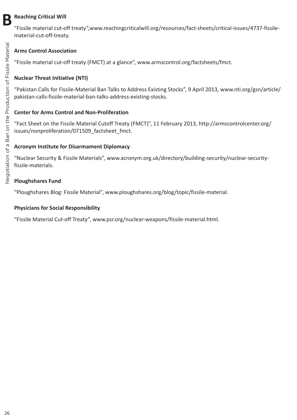## **BReaching Critical Will**

"Fissile material cut-off treaty",[www.reachingcriticalwill.org/resources/fact-sheets/critical-issues/4737-fissile](http://www.reachingcriticalwill.org/resources/fact-sheets/critical-issues/4737-fissile-material-cut-off-treaty)[material-cut-off-treaty](http://www.reachingcriticalwill.org/resources/fact-sheets/critical-issues/4737-fissile-material-cut-off-treaty).

## **Arms Control Association**

"Fissile material cut-off treaty (FMCT) at a glance", www.armscontrol.org/factsheets/fmct.

## **Nuclear Threat Initiative (NTI)**

"Pakistan Calls for Fissile-Material Ban Talks to Address Existing Stocks", 9 April 2013, [www.nti.org/gsn/article/](http://www.nti.org/gsn/article/pakistan-calls-fissile-material-ban-talks-address-existing-stocks) [pakistan-calls-fissile-material-ban-talks-address-existing-stocks.](http://www.nti.org/gsn/article/pakistan-calls-fissile-material-ban-talks-address-existing-stocks)

#### **Center for Arms Control and Non-Proliferation**

"Fact Sheet on the Fissile Material Cutoff Treaty (FMCT)", 11 February 2013, [http://armscontrolcenter.org/](http://armscontrolcenter.org/issues/nonproliferation/071509_factsheet_fmct) issues/nonproliferation/071509 factsheet fmct.

#### **Acronym Institute for Disarmament Diplomacy**

"Nuclear Security & Fissile Materials", [www.acronym.org.uk/directory/building-security/nuclear-security](http://www.acronym.org.uk/directory/building-security/nuclear-security-fissile-materials)[fissile-materials.](http://www.acronym.org.uk/directory/building-security/nuclear-security-fissile-materials)

#### **Ploughshares Fund**

"Ploughshares Blog: Fissile Material", www.ploughshares.org/blog/topic/fissile-material.

#### **Physicians for Social Responsibility**

"Fissile Material Cut-off Treaty", www.psr.org/nuclear-weapons/fissile-material.html.